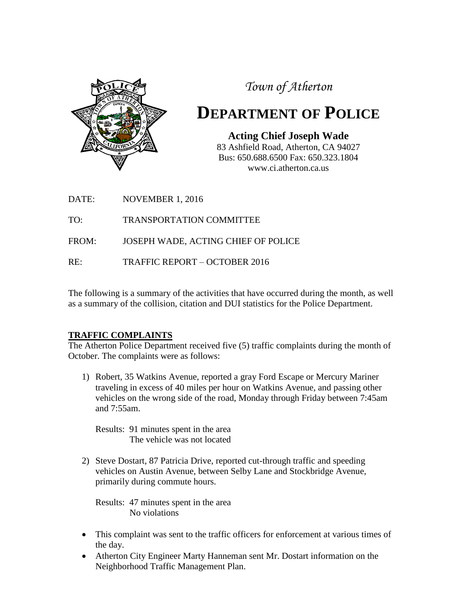

*Town of Atherton*

# **DEPARTMENT OF POLICE**

**Acting Chief Joseph Wade** 83 Ashfield Road, Atherton, CA 94027 Bus: 650.688.6500 Fax: 650.323.1804 www.ci.atherton.ca.us

DATE: NOVEMBER 1, 2016

TO: TRANSPORTATION COMMITTEE

FROM: JOSEPH WADE, ACTING CHIEF OF POLICE

RE: TRAFFIC REPORT – OCTOBER 2016

The following is a summary of the activities that have occurred during the month, as well as a summary of the collision, citation and DUI statistics for the Police Department.

### **TRAFFIC COMPLAINTS**

The Atherton Police Department received five (5) traffic complaints during the month of October. The complaints were as follows:

1) Robert, 35 Watkins Avenue, reported a gray Ford Escape or Mercury Mariner traveling in excess of 40 miles per hour on Watkins Avenue, and passing other vehicles on the wrong side of the road, Monday through Friday between 7:45am and 7:55am.

Results: 91 minutes spent in the area The vehicle was not located

2) Steve Dostart, 87 Patricia Drive, reported cut-through traffic and speeding vehicles on Austin Avenue, between Selby Lane and Stockbridge Avenue, primarily during commute hours.

Results: 47 minutes spent in the area No violations

- This complaint was sent to the traffic officers for enforcement at various times of the day.
- Atherton City Engineer Marty Hanneman sent Mr. Dostart information on the Neighborhood Traffic Management Plan.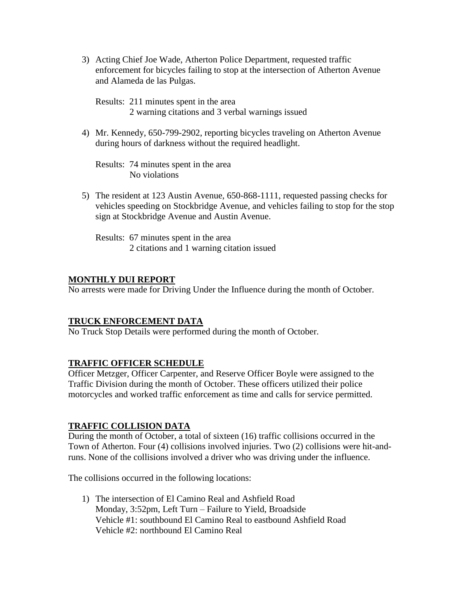3) Acting Chief Joe Wade, Atherton Police Department, requested traffic enforcement for bicycles failing to stop at the intersection of Atherton Avenue and Alameda de las Pulgas.

Results: 211 minutes spent in the area 2 warning citations and 3 verbal warnings issued

4) Mr. Kennedy, 650-799-2902, reporting bicycles traveling on Atherton Avenue during hours of darkness without the required headlight.

Results: 74 minutes spent in the area No violations

5) The resident at 123 Austin Avenue, 650-868-1111, requested passing checks for vehicles speeding on Stockbridge Avenue, and vehicles failing to stop for the stop sign at Stockbridge Avenue and Austin Avenue.

Results: 67 minutes spent in the area 2 citations and 1 warning citation issued

#### **MONTHLY DUI REPORT**

No arrests were made for Driving Under the Influence during the month of October.

#### **TRUCK ENFORCEMENT DATA**

No Truck Stop Details were performed during the month of October.

#### **TRAFFIC OFFICER SCHEDULE**

Officer Metzger, Officer Carpenter, and Reserve Officer Boyle were assigned to the Traffic Division during the month of October. These officers utilized their police motorcycles and worked traffic enforcement as time and calls for service permitted.

#### **TRAFFIC COLLISION DATA**

During the month of October, a total of sixteen (16) traffic collisions occurred in the Town of Atherton. Four (4) collisions involved injuries. Two (2) collisions were hit-andruns. None of the collisions involved a driver who was driving under the influence.

The collisions occurred in the following locations:

1) The intersection of El Camino Real and Ashfield Road Monday, 3:52pm, Left Turn – Failure to Yield, Broadside Vehicle #1: southbound El Camino Real to eastbound Ashfield Road Vehicle #2: northbound El Camino Real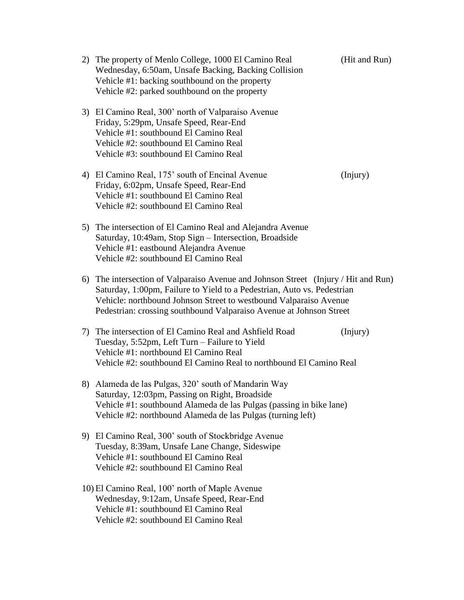| 2) The property of Menlo College, 1000 El Camino Real<br>Wednesday, 6:50am, Unsafe Backing, Backing Collision<br>Vehicle #1: backing southbound on the property<br>Vehicle #2: parked southbound on the property                                                                                          | (Hit and Run) |
|-----------------------------------------------------------------------------------------------------------------------------------------------------------------------------------------------------------------------------------------------------------------------------------------------------------|---------------|
| 3) El Camino Real, 300' north of Valparaiso Avenue<br>Friday, 5:29pm, Unsafe Speed, Rear-End<br>Vehicle #1: southbound El Camino Real<br>Vehicle #2: southbound El Camino Real<br>Vehicle #3: southbound El Camino Real                                                                                   |               |
| 4) El Camino Real, 175' south of Encinal Avenue<br>Friday, 6:02pm, Unsafe Speed, Rear-End<br>Vehicle #1: southbound El Camino Real<br>Vehicle #2: southbound El Camino Real                                                                                                                               | (Injury)      |
| 5) The intersection of El Camino Real and Alejandra Avenue<br>Saturday, 10:49am, Stop Sign - Intersection, Broadside<br>Vehicle #1: eastbound Alejandra Avenue<br>Vehicle #2: southbound El Camino Real                                                                                                   |               |
| 6) The intersection of Valparaiso Avenue and Johnson Street (Injury / Hit and Run)<br>Saturday, 1:00pm, Failure to Yield to a Pedestrian, Auto vs. Pedestrian<br>Vehicle: northbound Johnson Street to westbound Valparaiso Avenue<br>Pedestrian: crossing southbound Valparaiso Avenue at Johnson Street |               |
| 7) The intersection of El Camino Real and Ashfield Road<br>Tuesday, 5:52pm, Left Turn – Failure to Yield<br>Vehicle #1: northbound El Camino Real<br>Vehicle #2: southbound El Camino Real to northbound El Camino Real                                                                                   | (Injury)      |
| 8) Alameda de las Pulgas, 320' south of Mandarin Way<br>Saturday, 12:03pm, Passing on Right, Broadside<br>Vehicle #1: southbound Alameda de las Pulgas (passing in bike lane)<br>Vehicle #2: northbound Alameda de las Pulgas (turning left)                                                              |               |
| 9) El Camino Real, 300' south of Stockbridge Avenue<br>Tuesday, 8:39am, Unsafe Lane Change, Sideswipe<br>Vehicle #1: southbound El Camino Real<br>Vehicle #2: southbound El Camino Real                                                                                                                   |               |
| 10) El Camino Real, 100' north of Maple Avenue<br>Wednesday, 9:12am, Unsafe Speed, Rear-End<br>Vehicle #1: southbound El Camino Real<br>Vehicle #2: southbound El Camino Real                                                                                                                             |               |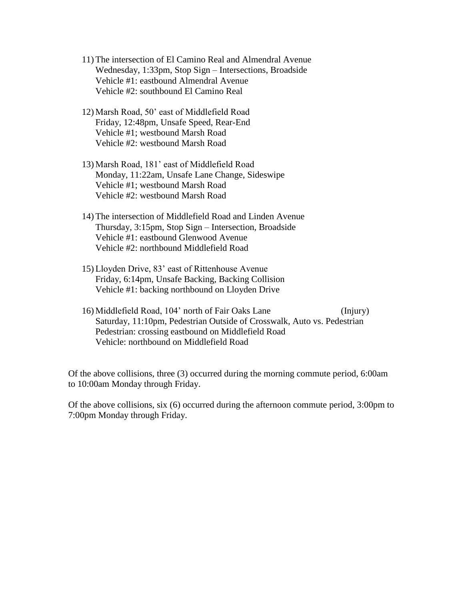- 11) The intersection of El Camino Real and Almendral Avenue Wednesday, 1:33pm, Stop Sign – Intersections, Broadside Vehicle #1: eastbound Almendral Avenue Vehicle #2: southbound El Camino Real
- 12) Marsh Road, 50' east of Middlefield Road Friday, 12:48pm, Unsafe Speed, Rear-End Vehicle #1; westbound Marsh Road Vehicle #2: westbound Marsh Road
- 13) Marsh Road, 181' east of Middlefield Road Monday, 11:22am, Unsafe Lane Change, Sideswipe Vehicle #1; westbound Marsh Road Vehicle #2: westbound Marsh Road
- 14) The intersection of Middlefield Road and Linden Avenue Thursday, 3:15pm, Stop Sign – Intersection, Broadside Vehicle #1: eastbound Glenwood Avenue Vehicle #2: northbound Middlefield Road
- 15) Lloyden Drive, 83' east of Rittenhouse Avenue Friday, 6:14pm, Unsafe Backing, Backing Collision Vehicle #1: backing northbound on Lloyden Drive
- 16) Middlefield Road, 104' north of Fair Oaks Lane (Injury) Saturday, 11:10pm, Pedestrian Outside of Crosswalk, Auto vs. Pedestrian Pedestrian: crossing eastbound on Middlefield Road Vehicle: northbound on Middlefield Road

Of the above collisions, three (3) occurred during the morning commute period, 6:00am to 10:00am Monday through Friday.

Of the above collisions, six (6) occurred during the afternoon commute period, 3:00pm to 7:00pm Monday through Friday.